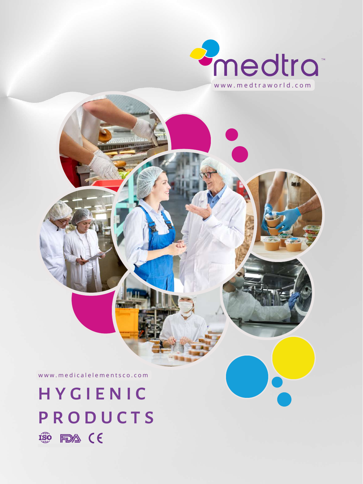

www.medicalelementsco.com

# **HY GIENIC P R O D U C T S 150 FDA (E**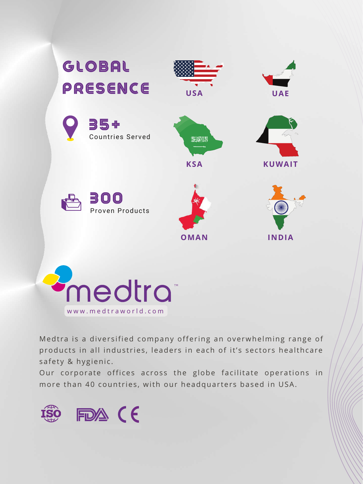

nedtra<sup>®</sup> www.medtraworld.com

Medtra is a diversified company offering an overwhelming range of products in all industries, leaders in each of it's sectors healthcare safety & hygienic.

Our corporate offices across the globe facilitate operations in more than 40 countries, with our headquarters based in USA.

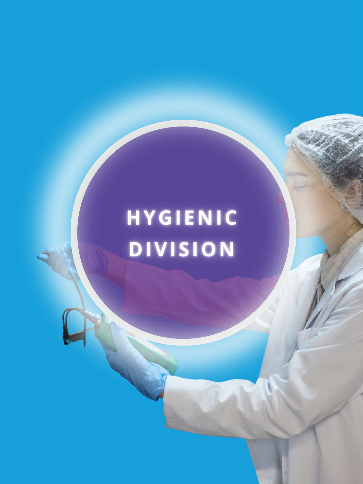# **HYGIENIC DIVISION**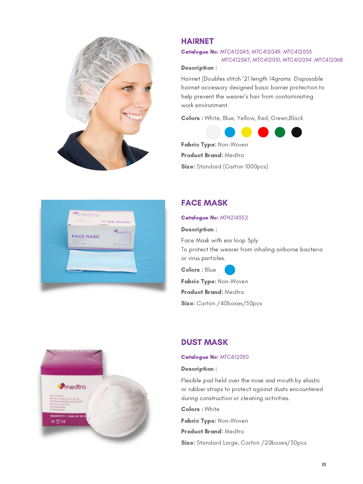

# HAIRNET

#### Catalogue No: MTC412045, MTC412049, MTC412053 KKKKKKKKKKKKKK MTC412047, MTC412051, MTC412054 ,MTC412068

#### Description :

Hairnet (Doubles stitch '21 length 14grams Disposable hairnet accessory designed basic barrier protection to help prevent the wearer's hair from contaminating work environment.

Colors : White, Blue, Yellow, Red, Green,Black



Fabric Type: Non-Woven Product Brand: Medtra Size: Standard (Carton 1000pcs)



# FACE MASK

#### Catalogue No: MTN214352

#### Description :

Face Mask with ear loop 3ply To protect the wearer from inhaling airborne bacteria or virus particles.

Colors : Blue

Fabric Type: Non-Woven Product Brand: Medtra Size: Carton / 40boxes/50pcs



# DUST MASK

#### Catalogue No: MTC412050

#### Description :

Flexible pad held over the nose and mouth by elastic or rubber straps to protect against dusts encountered during construction or cleaning activities.

Colors : White

Fabric Type: Non-Woven Product Brand: Medtra Size: Standard Large, Carton /20boxes/50pcs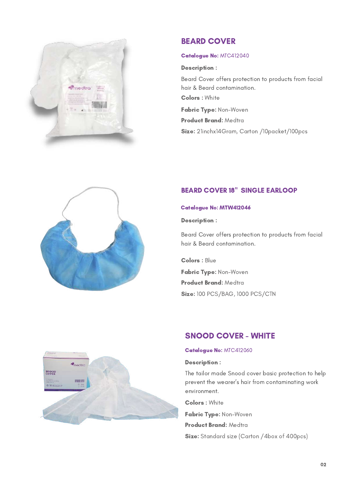

# BEARD COVER

#### Catalogue No: MTC412040

#### Description :

Beard Cover offers protection to products from facial hair & Beard contamination. Colors : White Fabric Type: Non-Woven Product Brand: Medtra

Size: 21inchx14Gram, Carton /10packet/100pcs



# BEARD COVER 18" SINGLE EARLOOP

#### Catalogue No: MTW412046

#### Description :

Beard Cover offers protection to products from facial hair & Beard contamination.

Colors : Blue Fabric Type: Non-Woven Product Brand: Medtra Size: 100 PCS/BAG, 1000 PCS/CTN



#### Catalogue No: MTC412060

#### Description :

The tailor made Snood cover basic protection to help prevent the wearer's hair from contaminating work environment.

Colors : White

Fabric Type: Non-Woven Product Brand: Medtra

Size: Standard size (Carton /4box of 400pcs)

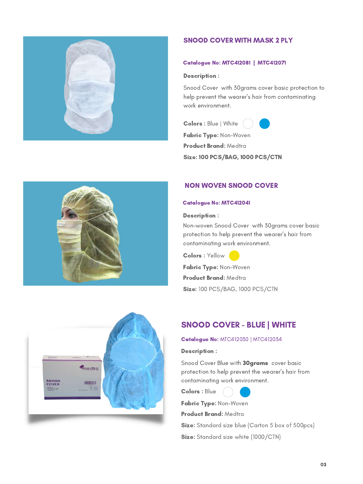

#### SNOOD COVER WITH MASK 2 PLY

#### Catalogue No: MTC412081 | MTC412071

#### Description :

Snood Cover with 30grams cover basic protection to help prevent the wearer's hair from contaminating work environment.

Colors : Blue | White



Fabric Type: Non-Woven Product Brand: Medtra

Size: 100 PCS/BAG, 1000 PCS/CTN



#### Catalogue No: MTC412041

#### Description :

Non-woven Snood Cover with 30grams cover basic protection to help prevent the wearer's hair from contaminating work environment.

Colors : Yellow Fabric Type: Non-Woven

Product Brand: Medtra **Size: 100 PCS/BAG, 1000 PCS/CTN** 

# SNOOD COVER - BLUE | WHITE

#### Catalogue No: MTC412030 | MTC412034

#### Description :

Snood Cover Blue with 30grams cover basic protection to help prevent the wearer's hair from contaminating work environment.



Fabric Type: Non-Woven

Product Brand: Medtra

Size: Standard size blue (Carton 5 box of 500pcs)

Size: Standard size white (1000/CTN)



medtra

**INTERNATIONAL** 

SNOOD<br>COVER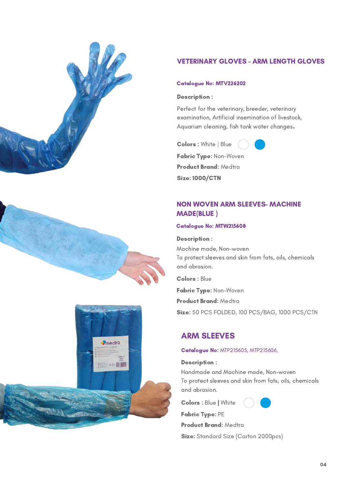





## VETERINARY GLOVES - ARM LENGTH GLOVES

#### Catalogue No: MTV226202

#### Description :

Perfect for the veterinary, breeder, veterinary examination, Artificial insemination of livestock, Aquarium cleaning, fish tank water changes,

Colors : White | Blue



Fabric Type: Non-Woven Product Brand: Medtra Size: 1000/CTN

# NON WOVEN ARM SLEEVES- MACHINE MADE(BLUE )

#### Catalogue No: MTW215608

#### Description :

Machine made, Non-woven To protect sleeves and skin from fats, oils, chemicals and abrasion.

Colors : Blue

Fabric Type: Non-Woven

Product Brand: Medtra

Size: 50 PCS FOLDED, 100 PCS/BAG, 1000 PCS/CTN

# ARM SLEEVES

#### Catalogue No: MTP215605, MTP215606,

#### Description :

Handmade and Machine made, Non-woven To protect sleeves and skin from fats, oils, chemicals and abrasion.

Colors : Blue | White

Fabric Type: PE

#### Product Brand: Medtra

Size: Standard Size (Carton 2000pcs)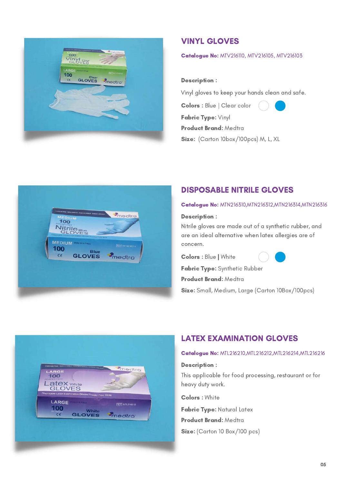

# VINYL GLOVES

#### Catalogue No: MTV216110, MTV216105, MTV216103

#### Description :

Vinyl gloves to keep your hands clean and safe.

Colors : Blue | Clear color

Fabric Type: Vinyl



Product Brand: Medtra Size: (Carton 10box/100pcs) M, L, XL



# DISPOSABLE NITRILE GLOVES

#### Catalogue No: MTN216310, MTN216312, MTN216314, MTN216316

#### Description :

Nitrile gloves are made out of a synthetic rubber, and are an ideal alternative when latex allergies are of concern.

Colors : Blue | White



Fabric Type: Synthetic Rubber

Product Brand: Medtra

Size: Small, Medium, Large (Carton 10Box/100pcs)



# LATEX EXAMINATION GLOVES

#### Catalogue No: MTL216210,MTL216212,MTL216214,MTL216216

#### Description :

This applicable for food processing, restaurant or for heavy duty work.

Colors : White

Fabric Type: Natural Latex Product Brand: Medtra Size: (Carton 10 Box/100 pcs)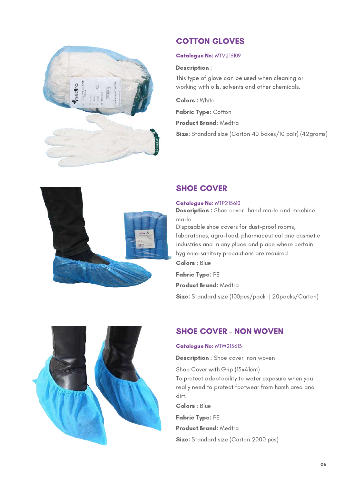

# COTTON GLOVES

#### Catalogue No: MTV216109

#### Description :

This type of glove can be used when cleaning or working with oils, solvents and other chemicals.

Colors : White

Fabric Type: Cotton

Product Brand: Medtra

Size: Standard size (Carton 40 boxes/10 pair) (42grams)



# SHOE COVER

#### Catalogue No: MTP215610

Disposable shoe covers for dust-proof rooms, laboratories, agro-food, pharmaceutical and cosmetic industries and in any place and place where certain hygienic-sanitary precautions are required **Description :** Shoe cover hand made and machine made Colors : Blue

Fabric Type: PE Product Brand: Medtra Size: Standard size (100pcs/pack | 20packs/Carton)



# SHOE COVER - NON WOVEN

#### Catalogue No: MTW215613

**Description :** Shoe cover non woven

Shoe Cover with Grip (15x41cm) To protect adaptability to water exposure when you really need to protect footwear from harsh area and dirt.

Colors : Blue

Fabric Type: PE

Product Brand: Medtra

Size: Standard size (Carton 2000 pcs)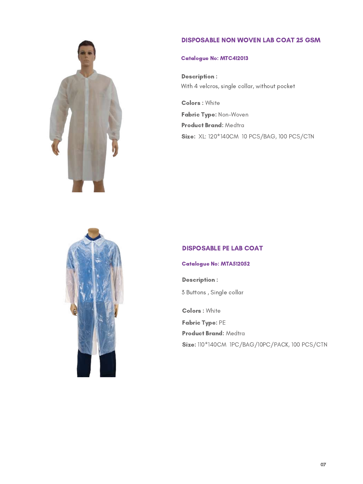#### DISPOSABLE NON WOVEN LAB COAT 25 GSM



## Catalogue No: MTC412013

Description : With 4 velcros, single collar, without pocket

Colors : White Fabric Type: Non-Woven Product Brand: Medtra Size: XL: 120\*140CM 10 PCS/BAG, 100 PCS/CTN



#### DISPOSABLE PE LAB COAT

#### Catalogue No: MTA512052

3 Buttons , Single collar Description :

Colors : White Fabric Type: PE Product Brand: Medtra Size: 110\*140CM IPC/BAG/10PC/PACK, 100 PCS/CTN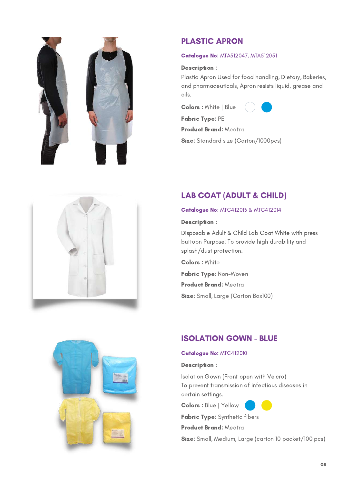



# PLASTIC APRON

#### Catalogue No: MTA512047, MTA512051

#### Description :

Plastic Apron Used for food handling, Dietary, Bakeries, and pharmaceuticals, Apron resists liquid, grease and oils.

Colors : White | Blue



Product Brand: Medtra

Size: Standard size (Carton/1000pcs)

# LAB COAT (ADULT & CHILD)

#### Catalogue No: MTC412013 & MTC412014

#### Description :

Disposable Adult & Child Lab Coat White with press buttoon Purpose: To provide high durability and splash/dust protection.

Colors : White

Fabric Type: Non-Woven

Product Brand: Medtra

Size: Small, Large (Carton Box100)

# ISOLATION GOWN - BLUE

#### Catalogue No: MTC412010

#### Description :

Isolation Gown (Front open with Velcro) To prevent transmission of infectious diseases in certain settings.

Colors : Blue | Yellow

Fabric Type: Synthetic fibers

#### Product Brand: Medtra

Size: Small, Medium, Large (carton 10 packet/100 pcs)